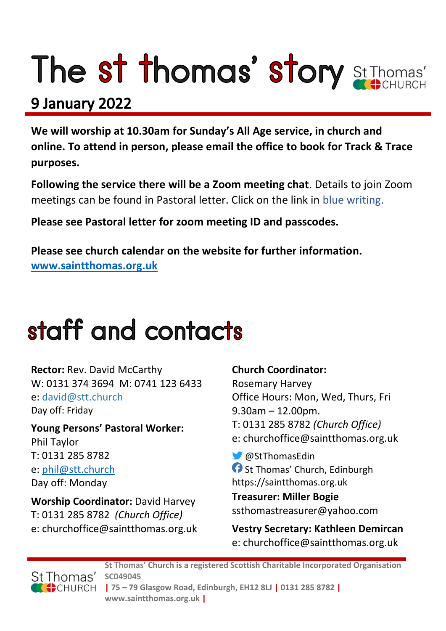# The st thomas' story St Thomas'

### 9 January 2022

**We will worship at 10.30am for Sunday's All Age service, in church and online. To attend in person, please email the office to book for Track & Trace purposes.**

**Following the service there will be a Zoom meeting chat**. Details to join Zoom meetings can be found in Pastoral letter. Click on the link in blue writing.

**Please see Pastoral letter for zoom meeting ID and passcodes.**

**Please see church calendar on the website for further information. [www.saintthomas.org.uk](http://www.saintthomas.org.uk/)**

## staff and contacts

**Rector:** Rev. David McCarthy W: 0131 374 3694 M: 0741 123 6433 e: david@stt.church Day off: Friday

**Young Persons' Pastoral Worker:** Phil Taylor T: 0131 285 8782 e: [phil@stt.church](mailto:phil@stt.church) Day off: Monday

**Worship Coordinator:** David Harvey T: 0131 285 8782 *(Church Office)* e: churchoffice@saintthomas.org.uk

#### **Church Coordinator:**

Rosemary Harvey Office Hours: Mon, Wed, Thurs, Fri 9.30am – 12.00pm. T: 0131 285 8782 *(Church Office)* e: churchoffice@saintthomas.org.uk

@StThomasEdin **f** St Thomas' Church, Edinburgh https://saintthomas.org.uk

**Treasurer: Miller Bogie** ssthomastreasurer@yahoo.com

**Vestry Secretary: Kathleen Demircan**  e: churchoffice@saintthomas.org.uk



**St Thomas' Church is a registered Scottish Charitable Incorporated Organisation SC049045 | 75 – 79 Glasgow Road, Edinburgh, EH12 8LJ | 0131 285 8782 | www.saintthomas.org.uk |**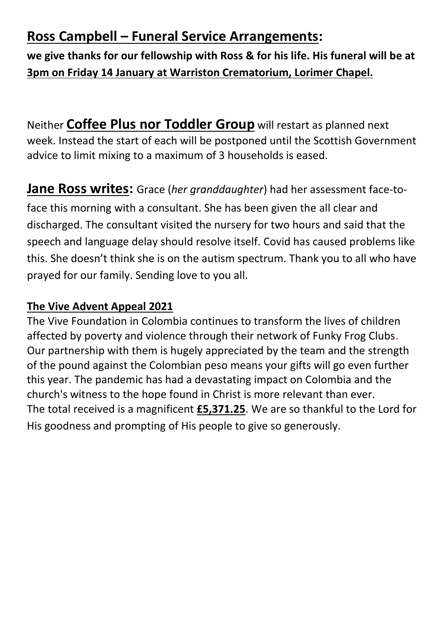### **Ross Campbell – Funeral Service Arrangements:**

**we give thanks for our fellowship with Ross & for his life. His funeral will be at 3pm on Friday 14 January at Warriston Crematorium, Lorimer Chapel.**

Neither **Coffee Plus nor Toddler Group** will restart as planned next week. Instead the start of each will be postponed until the Scottish Government advice to limit mixing to a maximum of 3 households is eased.

**Jane Ross writes:** Grace (*her granddaughter*) had her assessment face-toface this morning with a consultant. She has been given the all clear and discharged. The consultant visited the nursery for two hours and said that the speech and language delay should resolve itself. Covid has caused problems like this. She doesn't think she is on the autism spectrum. Thank you to all who have prayed for our family. Sending love to you all.

#### **The Vive Advent Appeal 2021**

The Vive Foundation in Colombia continues to transform the lives of children affected by poverty and violence through their network of Funky Frog Clubs. Our partnership with them is hugely appreciated by the team and the strength of the pound against the Colombian peso means your gifts will go even further this year. The pandemic has had a devastating impact on Colombia and the church's witness to the hope found in Christ is more relevant than ever. The total received is a magnificent **£5,371.25**. We are so thankful to the Lord for His goodness and prompting of His people to give so generously.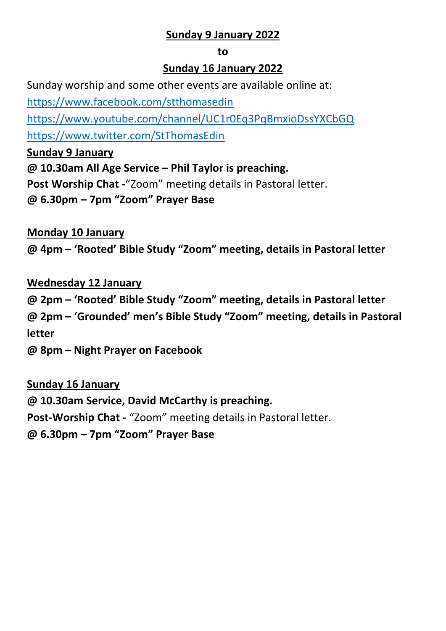#### **Sunday 9 January 2022**

#### **to**

#### **Sunday 16 January 2022**

Sunday worship and some other events are available online at:

<https://www.facebook.com/stthomasedin>

<https://www.youtube.com/channel/UC1r0Eq3PqBmxioDssYXCbGQ> <https://www.twitter.com/StThomasEdin>

**Sunday 9 January**

**@ 10.30am All Age Service – Phil Taylor is preaching. Post Worship Chat -**"Zoom" meeting details in Pastoral letter. **@ 6.30pm – 7pm "Zoom" Prayer Base**

**Monday 10 January**

**@ 4pm – 'Rooted' Bible Study "Zoom" meeting, details in Pastoral letter**

**Wednesday 12 January @ 2pm – 'Rooted' Bible Study "Zoom" meeting, details in Pastoral letter @ 2pm – 'Grounded' men's Bible Study "Zoom" meeting, details in Pastoral letter**

**@ 8pm – Night Prayer on Facebook** 

#### **Sunday 16 January**

**@ 10.30am Service, David McCarthy is preaching. Post-Worship Chat -** "Zoom" meeting details in Pastoral letter.

**@ 6.30pm – 7pm "Zoom" Prayer Base**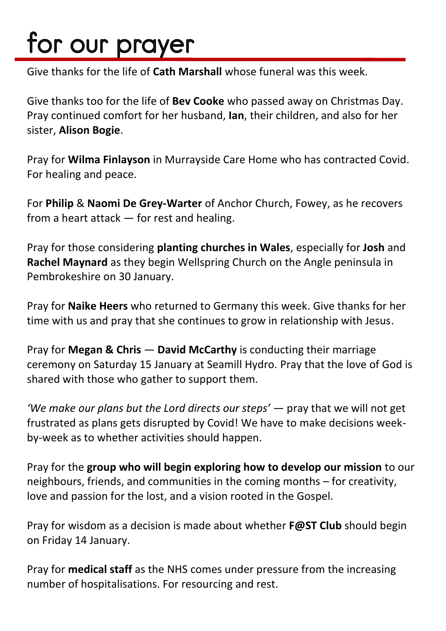# for our prayer

Give thanks for the life of **Cath Marshall** whose funeral was this week.

Give thanks too for the life of **Bev Cooke** who passed away on Christmas Day. Pray continued comfort for her husband, **Ian**, their children, and also for her sister, **Alison Bogie**.

Pray for **Wilma Finlayson** in Murrayside Care Home who has contracted Covid. For healing and peace.

For **Philip** & **Naomi De Grey-Warter** of Anchor Church, Fowey, as he recovers from a heart attack — for rest and healing.

Pray for those considering **planting churches in Wales**, especially for **Josh** and **Rachel Maynard** as they begin Wellspring Church on the Angle peninsula in Pembrokeshire on 30 January.

Pray for **Naike Heers** who returned to Germany this week. Give thanks for her time with us and pray that she continues to grow in relationship with Jesus.

Pray for **Megan & Chris** — **David McCarthy** is conducting their marriage ceremony on Saturday 15 January at Seamill Hydro. Pray that the love of God is shared with those who gather to support them.

*'We make our plans but the Lord directs our steps'* — pray that we will not get frustrated as plans gets disrupted by Covid! We have to make decisions weekby-week as to whether activities should happen.

Pray for the **group who will begin exploring how to develop our mission** to our neighbours, friends, and communities in the coming months – for creativity, love and passion for the lost, and a vision rooted in the Gospel.

Pray for wisdom as a decision is made about whether **F@ST Club** should begin on Friday 14 January.

Pray for **medical staff** as the NHS comes under pressure from the increasing number of hospitalisations. For resourcing and rest.